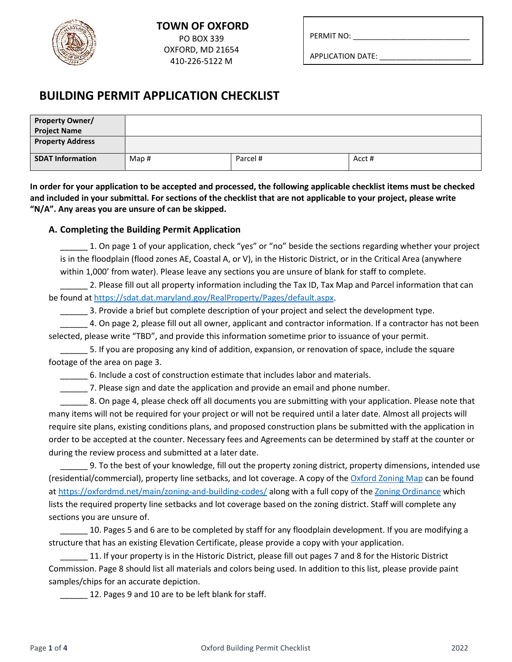

PERMIT NO:

APPLICATION DATE: \_\_\_\_\_\_\_\_\_\_\_\_\_\_\_\_\_\_\_\_\_\_

## **BUILDING PERMIT APPLICATION CHECKLIST**

| <b>Property Owner/</b><br><b>Project Name</b> |      |          |        |
|-----------------------------------------------|------|----------|--------|
| <b>Property Address</b>                       |      |          |        |
| <b>SDAT Information</b>                       | Map# | Parcel # | Acct # |

**In order for your application to be accepted and processed, the following applicable checklist items must be checked and included in your submittal. For sections of the checklist that are not applicable to your project, please write "N/A". Any areas you are unsure of can be skipped.**

### **A. Completing the Building Permit Application**

\_\_\_\_\_\_ 1. On page 1 of your application, check "yes" or "no" beside the sections regarding whether your project is in the floodplain (flood zones AE, Coastal A, or V), in the Historic District, or in the Critical Area (anywhere within 1,000' from water). Please leave any sections you are unsure of blank for staff to complete.

\_\_\_\_\_\_ 2. Please fill out all property information including the Tax ID, Tax Map and Parcel information that can be found at [https://sdat.dat.maryland.gov/RealProperty/Pages/default.aspx.](https://sdat.dat.maryland.gov/RealProperty/Pages/default.aspx)

\_\_\_\_\_\_ 3. Provide a brief but complete description of your project and select the development type.

\_\_\_\_\_\_ 4. On page 2, please fill out all owner, applicant and contractor information. If a contractor has not been selected, please write "TBD", and provide this information sometime prior to issuance of your permit.

\_\_\_\_\_\_ 5. If you are proposing any kind of addition, expansion, or renovation of space, include the square footage of the area on page 3.

\_\_\_\_\_\_ 6. Include a cost of construction estimate that includes labor and materials.

7. Please sign and date the application and provide an email and phone number.

\_\_\_\_\_\_ 8. On page 4, please check off all documents you are submitting with your application. Please note that many items will not be required for your project or will not be required until a later date. Almost all projects will require site plans, existing conditions plans, and proposed construction plans be submitted with the application in order to be accepted at the counter. Necessary fees and Agreements can be determined by staff at the counter or during the review process and submitted at a later date.

\_\_\_\_\_\_ 9. To the best of your knowledge, fill out the property zoning district, property dimensions, intended use (residential/commercial), property line setbacks, and lot coverage. A copy of th[e Oxford Zoning Map](http://oxfordmd.net/documents/FINAL%20Oxford%20Zoning%20Map.pdf) can be found at <https://oxfordmd.net/main/zoning-and-building-codes/> along with a full copy of th[e Zoning Ordinance](http://oxfordmd.net/documents2017/OXFORD%20ZONING%20ORDINANCE%20Amended%2006_14_17.pdf) which lists the required property line setbacks and lot coverage based on the zoning district. Staff will complete any sections you are unsure of.

\_\_\_\_\_\_ 10. Pages 5 and 6 are to be completed by staff for any floodplain development. If you are modifying a structure that has an existing Elevation Certificate, please provide a copy with your application.

\_\_\_\_\_\_ 11. If your property is in the Historic District, please fill out pages 7 and 8 for the Historic District Commission. Page 8 should list all materials and colors being used. In addition to this list, please provide paint samples/chips for an accurate depiction.

12. Pages 9 and 10 are to be left blank for staff.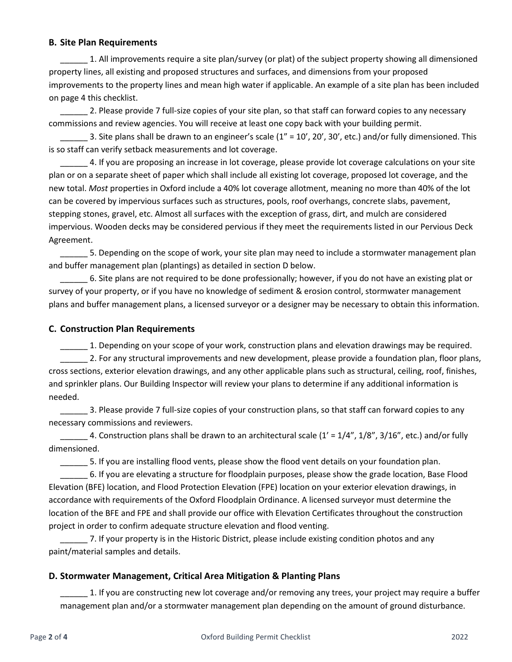#### **B. Site Plan Requirements**

\_\_\_\_\_\_ 1. All improvements require a site plan/survey (or plat) of the subject property showing all dimensioned property lines, all existing and proposed structures and surfaces, and dimensions from your proposed improvements to the property lines and mean high water if applicable. An example of a site plan has been included on page 4 this checklist.

2. Please provide 7 full-size copies of your site plan, so that staff can forward copies to any necessary commissions and review agencies. You will receive at least one copy back with your building permit.

 $\_$  3. Site plans shall be drawn to an engineer's scale (1" = 10', 20', 30', etc.) and/or fully dimensioned. This is so staff can verify setback measurements and lot coverage.

4. If you are proposing an increase in lot coverage, please provide lot coverage calculations on your site plan or on a separate sheet of paper which shall include all existing lot coverage, proposed lot coverage, and the new total. *Most* properties in Oxford include a 40% lot coverage allotment, meaning no more than 40% of the lot can be covered by impervious surfaces such as structures, pools, roof overhangs, concrete slabs, pavement, stepping stones, gravel, etc. Almost all surfaces with the exception of grass, dirt, and mulch are considered impervious. Wooden decks may be considered pervious if they meet the requirements listed in our Pervious Deck Agreement.

\_\_\_\_\_\_ 5. Depending on the scope of work, your site plan may need to include a stormwater management plan and buffer management plan (plantings) as detailed in section D below.

\_\_\_\_\_\_ 6. Site plans are not required to be done professionally; however, if you do not have an existing plat or survey of your property, or if you have no knowledge of sediment & erosion control, stormwater management plans and buffer management plans, a licensed surveyor or a designer may be necessary to obtain this information.

#### **C. Construction Plan Requirements**

\_\_\_\_\_\_ 1. Depending on your scope of your work, construction plans and elevation drawings may be required. 2. For any structural improvements and new development, please provide a foundation plan, floor plans, cross sections, exterior elevation drawings, and any other applicable plans such as structural, ceiling, roof, finishes, and sprinkler plans. Our Building Inspector will review your plans to determine if any additional information is needed.

\_\_\_\_\_\_ 3. Please provide 7 full-size copies of your construction plans, so that staff can forward copies to any necessary commissions and reviewers.

4. Construction plans shall be drawn to an architectural scale  $(1' = 1/4'', 1/8'', 3/16'',$  etc.) and/or fully dimensioned.

\_\_\_\_\_\_ 5. If you are installing flood vents, please show the flood vent details on your foundation plan.

\_\_\_\_\_\_ 6. If you are elevating a structure for floodplain purposes, please show the grade location, Base Flood Elevation (BFE) location, and Flood Protection Elevation (FPE) location on your exterior elevation drawings, in accordance with requirements of the Oxford Floodplain Ordinance. A licensed surveyor must determine the location of the BFE and FPE and shall provide our office with Elevation Certificates throughout the construction project in order to confirm adequate structure elevation and flood venting.

7. If your property is in the Historic District, please include existing condition photos and any paint/material samples and details.

### **D. Stormwater Management, Critical Area Mitigation & Planting Plans**

1. If you are constructing new lot coverage and/or removing any trees, your project may require a buffer management plan and/or a stormwater management plan depending on the amount of ground disturbance.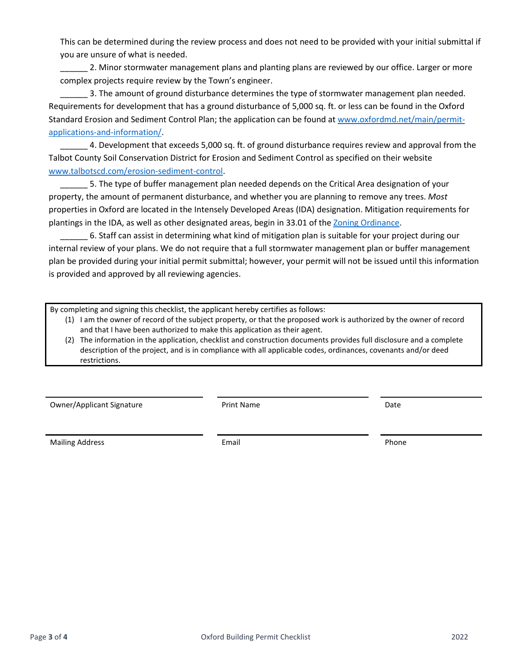This can be determined during the review process and does not need to be provided with your initial submittal if you are unsure of what is needed.

2. Minor stormwater management plans and planting plans are reviewed by our office. Larger or more complex projects require review by the Town's engineer.

3. The amount of ground disturbance determines the type of stormwater management plan needed. Requirements for development that has a ground disturbance of 5,000 sq. ft. or less can be found in the Oxford Standard Erosion and Sediment Control Plan; the application can be found at [www.oxfordmd.net/main/permit](http://www.oxfordmd.net/main/permit-applications-and-information/)[applications-and-information/.](http://www.oxfordmd.net/main/permit-applications-and-information/)

\_\_\_\_\_\_ 4. Development that exceeds 5,000 sq. ft. of ground disturbance requires review and approval from the Talbot County Soil Conservation District for Erosion and Sediment Control as specified on their website [www.talbotscd.com/erosion-sediment-control.](http://www.talbotscd.com/erosion-sediment-control)

5. The type of buffer management plan needed depends on the Critical Area designation of your property, the amount of permanent disturbance, and whether you are planning to remove any trees. *Most* properties in Oxford are located in the Intensely Developed Areas (IDA) designation. Mitigation requirements for plantings in the IDA, as well as other designated areas, begin in 33.01 of the [Zoning Ordinance.](http://oxfordmd.net/documents2017/OXFORD%20ZONING%20ORDINANCE%20Amended%2006_14_17.pdf)

\_\_\_\_\_\_ 6. Staff can assist in determining what kind of mitigation plan is suitable for your project during our internal review of your plans. We do not require that a full stormwater management plan or buffer management plan be provided during your initial permit submittal; however, your permit will not be issued until this information is provided and approved by all reviewing agencies.

By completing and signing this checklist, the applicant hereby certifies as follows:

- (1) I am the owner of record of the subject property, or that the proposed work is authorized by the owner of record and that I have been authorized to make this application as their agent.
- (2) The information in the application, checklist and construction documents provides full disclosure and a complete description of the project, and is in compliance with all applicable codes, ordinances, covenants and/or deed restrictions.

Owner/Applicant Signature The Print Name Date Date of Print Name Date

Mailing Address **Email Email Email Email Email Phone**